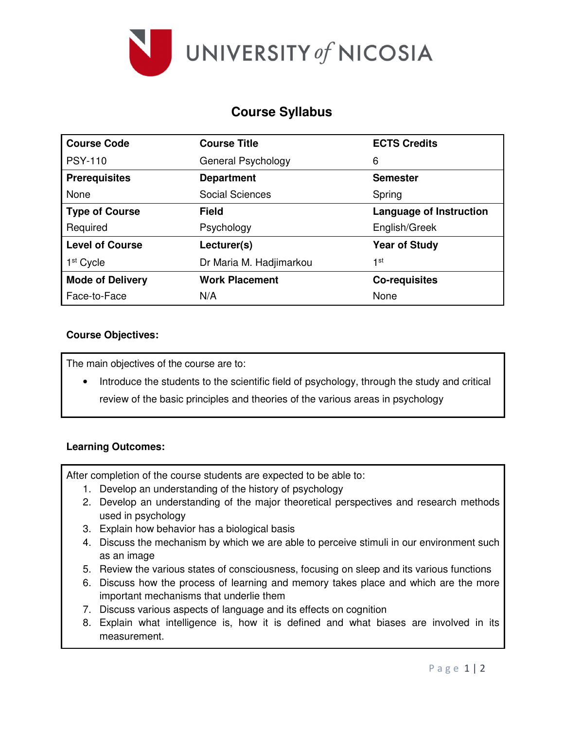

# **Course Syllabus**

| <b>Course Code</b>      | <b>Course Title</b>     | <b>ECTS Credits</b>            |  |
|-------------------------|-------------------------|--------------------------------|--|
| <b>PSY-110</b>          | General Psychology      | 6                              |  |
| <b>Prerequisites</b>    | <b>Department</b>       | <b>Semester</b>                |  |
| None                    | Social Sciences         | Spring                         |  |
| <b>Type of Course</b>   | <b>Field</b>            | <b>Language of Instruction</b> |  |
| Required                | Psychology              | English/Greek                  |  |
| <b>Level of Course</b>  | Lecturer(s)             | <b>Year of Study</b>           |  |
| 1 <sup>st</sup> Cycle   | Dr Maria M. Hadjimarkou | 1st                            |  |
| <b>Mode of Delivery</b> | <b>Work Placement</b>   | <b>Co-requisites</b>           |  |
| Face-to-Face            | N/A                     | None                           |  |

## **Course Objectives:**

The main objectives of the course are to:

Introduce the students to the scientific field of psychology, through the study and critical review of the basic principles and theories of the various areas in psychology

## **Learning Outcomes:**

After completion of the course students are expected to be able to:

- 1. Develop an understanding of the history of psychology
- 2. Develop an understanding of the major theoretical perspectives and research methods used in psychology
- 3. Explain how behavior has a biological basis
- 4. Discuss the mechanism by which we are able to perceive stimuli in our environment such as an image
- 5. Review the various states of consciousness, focusing on sleep and its various functions
- 6. Discuss how the process of learning and memory takes place and which are the more important mechanisms that underlie them
- 7. Discuss various aspects of language and its effects on cognition
- 8. Explain what intelligence is, how it is defined and what biases are involved in its measurement.